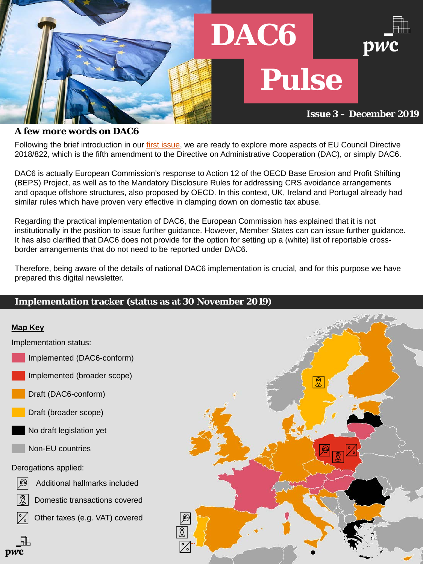Following the brief introduction in our [first issue](https://www.pwc.nl/nl/assets/documents/dac6-pulse-november-2019.pdf), we are ready to explore more aspects of EU Council Directive 2018/822, which is the fifth amendment to the Directive on Administrative Cooperation (DAC), or simply DAC6.

DAC6 is actually European Commission's response to Action 12 of the OECD Base Erosion and Profit Shifting (BEPS) Project, as well as to the Mandatory Disclosure Rules for addressing CRS avoidance arrangements and opaque offshore structures, also proposed by OECD. In this context, UK, Ireland and Portugal already had similar rules which have proven very effective in clamping down on domestic tax abuse.

Regarding the practical implementation of DAC6, the European Commission has explained that it is not institutionally in the position to issue further guidance. Ηowever, Member States can can issue further guidance. It has also clarified that DAC6 does not provide for the option for setting up a (white) list of reportable crossborder arrangements that do not need to be reported under DAC6.

Therefore, being aware of the details of national DAC6 implementation is crucial, and for this purpose we have prepared this digital newsletter.

## **Implementation tracker (status as at 30 November 2019)**

### **A few more words on DAC6**

Implementation status:

Implemented (DAC6-conform)

Implemented (broader scope)

Draft (DAC6-conform)



Draft (broader scope)

No draft legislation yet

### **Map Key**

Derogations applied:



Additional hallmarks included



Domestic transactions covered



 $\Box$ 

pwc

Other taxes (e.g. VAT) covered



Non-EU countries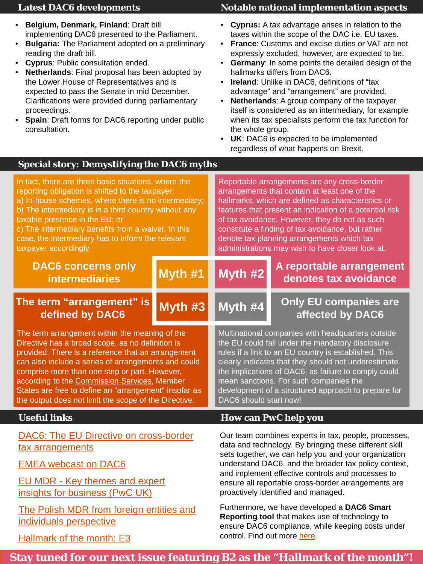- **Belgium, Denmark, Finland**: Draft bill implementing DAC6 presented to the Parliament.
- **Bulgaria:** The Parliament adopted on a preliminary reading the draft bill.
- **Cyprus**: Public consultation ended.
- **Netherlands**: Final proposal has been adopted by the Lower House of Representatives and is expected to pass the Senate in mid December. Clarifications were provided during parliamentary proceedings.
- **Spain: Draft forms for DAC6 reporting under public** consultation.

### **Latest DAC6 developments**

- **Cyprus:** A tax advantage arises in relation to the taxes within the scope of the DAC i.e. EU taxes.
- **France**: Customs and excise duties or VAT are not expressly excluded, however, are expected to be.
- **Germany**: In some points the detailed design of the hallmarks differs from DAC6.
- **Ireland**: Unlike in DAC6, definitions of "tax advantage" and "arrangement" are provided.
- **Netherlands**: A group company of the taxpayer itself is considered as an intermediary, for example when its tax specialists perform the tax function for the whole group.
- UK: DAC6 is expected to be implemented regardless of what happens on Brexit.

### **Notable national implementation aspects**

### **Special story: Demystifying the DAC6 myths**

Our team combines experts in tax, people, processes, data and technology. By bringing these different skill sets together, we can help you and your organization understand DAC6, and the broader tax policy context, and implement effective controls and processes to ensure all reportable cross-border arrangements are proactively identified and managed.

Furthermore, we have developed a **DAC6 Smart Reporting tool** that makes use of technology to ensure DAC6 compliance, while keeping costs under control. Find out more [here](https://store.pwc.ch/de/service/smartsurvey-for-dac6).

[EMEA webcast on DAC6](https://www.youtube.com/watch?v=_1a1CptOuaw&feature=youtu.be)

EU MDR - Key themes and expert [insights for business \(PwC UK\)](https://www.google.com/url?q=https%3A%2F%2Fevent.webcasts.com%2Fviewer%2Fevent.jsp%3Fei%3D1254825%26tp_key%3D22808d82cc&sa=D&sntz=1&usg=AFQjCNG6r58ID0avwy1Ybfpo3TNrYYVOGw)

[The Polish MDR from foreign entities and](https://soundcloud.com/pwcpolska/the-polish-mdr-from-foreign-entities-and-individuals-perspective)  individuals perspective

# [Hallmark of the month: E3](https://www.pwc.nl/nl/assets/documents/DAC6/DAC6%20Pulse%20-%20November%202019%20-Issue%202%20-%20Hallmark%20of%20the%20month.pdf)

# **Useful links How can PwC help you**

# **Stay tuned for our next issue featuring B2 as the "Hallmark of the month"!**

| In fact, there are three basic situations, where the<br>reporting obligation is shifted to the taxpayer:<br>a) In-house schemes, where there is no intermediary;<br>b) The intermediary is in a third country without any<br>taxable presence in the EU; or<br>c) The intermediary benefits from a waiver. In this<br>case, the intermediary has to inform the relevant<br>taxpayer accordingly. |            | Reportable arrangements are any cross-border<br>arrangements that contain at least one of the<br>hallmarks, which are defined as characteristics or<br>features that present an indication of a potential risk<br>of tax avoidance. However, they do not as such<br>constitute a finding of tax avoidance, but rather<br>denote tax planning arrangements which tax<br>administrations may wish to have closer look at. |                                                   |
|--------------------------------------------------------------------------------------------------------------------------------------------------------------------------------------------------------------------------------------------------------------------------------------------------------------------------------------------------------------------------------------------------|------------|-------------------------------------------------------------------------------------------------------------------------------------------------------------------------------------------------------------------------------------------------------------------------------------------------------------------------------------------------------------------------------------------------------------------------|---------------------------------------------------|
| <b>DAC6 concerns only</b><br><b>intermediaries</b>                                                                                                                                                                                                                                                                                                                                               | Myth #1    | Myth #2                                                                                                                                                                                                                                                                                                                                                                                                                 | A reportable arrangement<br>denotes tax avoidance |
| The term "arrangement" is<br>defined by DAC6                                                                                                                                                                                                                                                                                                                                                     | $M$ yth #3 | $M$ yth #4                                                                                                                                                                                                                                                                                                                                                                                                              | <b>Only EU companies are</b><br>affected by DAC6  |

The term arrangement within the meaning of the Directive has a broad scope, as no definition is provided. There is a reference that an arrangement can also include a series of arrangements and could comprise more than one step or part. However, according to the [Commission Services,](https://ec.europa.eu/transparency/regexpert/index.cfm?do=groupDetail.groupMeetingDoc&docid=19686) Member States are free to define an "arrangement" insofar as Multinational companies with headquarters outside the EU could fall under the mandatory disclosure rules if a link to an EU country is established. This clearly indicates that they should not underestimate the implications of DAC6, as failure to comply could mean sanctions. For such companies the development of a structured approach to prepare for

DAC6: The EU Directive on cross-border tax arrangements